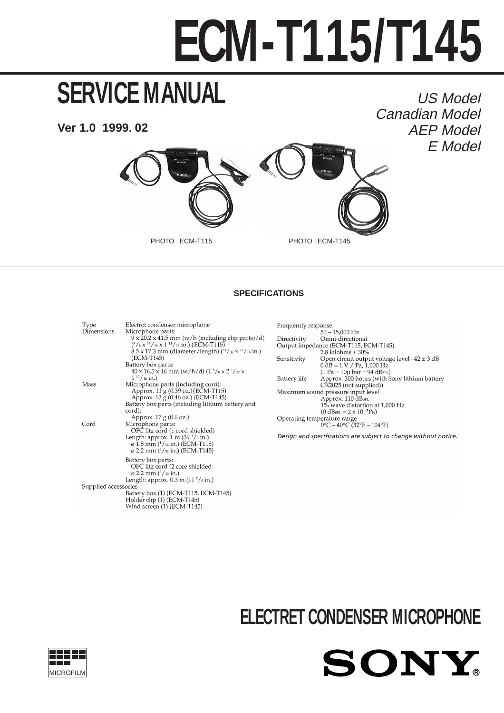# **ECM-T115/T145**

# **SERVICE MANUAL**

**Ver 1.0 1999. 02**

US Model Canadian Model AEP Model E Model



### **SPECIFICATIONS**

Type Electret condenser microphone Microphone parts:<br> $9 \times 20.2 \times 41.5$  mm (w/h (including clip parts)/d) Dimensions  $(^3/8 \times ^{13}/_{16} \times 1^{11}/_{16} \text{ in.})$  (ECM-T115)  $8.5 \times 17.3$  mm (diameter/length)  $(^{11}/_{32} \times ^{11}/_{16}$  in.) (ECM-T145) Battery box parts:<br>40 x 16.5 x 46 mm (w/h/d) (1  $\frac{5}{8}$  x 2  $\frac{1}{3}$  x x  $1^{13}/$  16 in.) 1 To al., 0<br>
Microphone parts (including cord):<br>
Approx. 11 g (0.39 oz.) (ECM-T115)<br>
Approx. 13 g (0.46 oz.) (ECM-T145) Mass Battery box parts (including lithium battery and cord): Approx. 17 g (0.6 oz.) Microphone parts:<br>
OFC litz cord (1 cord shielded) Cord Length: approx. 1 m  $(39^3/s \text{ in.})$ <br> $\varnothing$  1.5 mm  $(^1/16 \text{ in.})$  (ECM-T115) ø 2.2 mm (3/32 in.) (ECM-T145) Battery box parts:<br>OFC litz cord (2 core shielded  $\varnothing$  2.2 mm  $(^{3}/^{32}$  in.) Length: approx.  $0.3 \text{ m}$  (11  $\frac{7}{s}$  in.) Supplied accessories Battery box (1) (ECM-T115, ECM-T145) Battery Box (1) (ECM-T115), I<br>Holder clip (1) (ECM-T145)<br>Wind screen (1) (ECM-T145)

| Frequently response |                                                                      |
|---------------------|----------------------------------------------------------------------|
|                     | $50 - 15,000$ Hz                                                     |
| Directivity         | Omni-directional                                                     |
|                     | Output impedance (ECM-T115, ECM-T145)                                |
|                     | 2.8 kilohms $\pm$ 30%                                                |
| Sensitivity         | Open circuit output voltage level $-42 \pm 3$ dB                     |
|                     | $0 dB = 1 V / Pa$ , 1,000 Hz                                         |
|                     | $(1 Pa = 10\mu bar = 94 dB_{SPL})$                                   |
| Battery life        | Approx. 300 hours (with Sony lithium battery                         |
|                     | CR2025 (not supplied))                                               |
|                     | Maximum sound pressure input level                                   |
|                     | Approx. 110 dBspL                                                    |
|                     | 1% wave distortion at 1,000 Hz                                       |
|                     | $(0 dB_{SPL} = 2 \times 10^{-5} Pa)$                                 |
|                     | Operating temperature range                                          |
|                     | $0^{\circ}$ C – 40 $^{\circ}$ C (32 $^{\circ}$ F – 104 $^{\circ}$ F) |
|                     | Design and specifications are subject to change without notice       |

# **ELECTRET CONDENSER MICROPHONE**

SONY

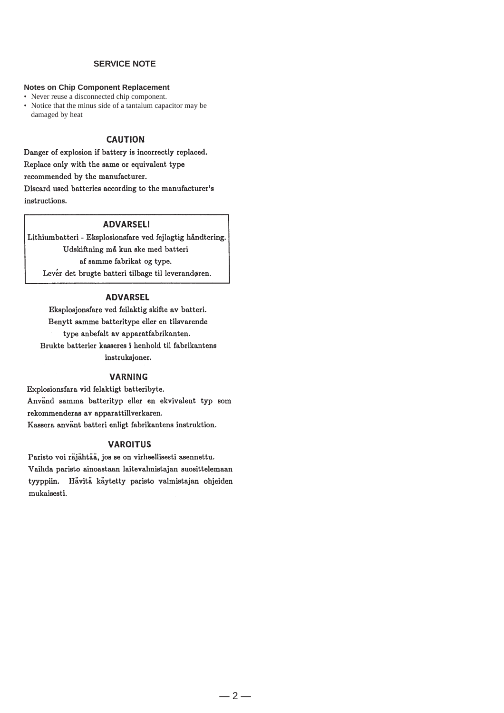#### **SERVICE NOTE**

#### **Notes on Chip Component Replacement**

• Never reuse a disconnected chip component.

• Notice that the minus side of a tantalum capacitor may be damaged by heat

#### **CAUTION**

Danger of explosion if battery is incorrectly replaced. Replace only with the same or equivalent type recommended by the manufacturer. Discard used batteries according to the manufacturer's instructions.

#### **ADVARSEL!**

Lithiumbatteri - Eksplosionsfare ved fejlagtig håndtering. Udskiftning må kun ske med batteri af samme fabrikat og type. Lever det brugte batteri tilbage til leverandøren.

#### **ADVARSEL**

Eksplosjonsfare ved feilaktig skifte av batteri. Benytt samme batteritype eller en tilsvarende type anbefalt av apparatfabrikanten. Brukte batterier kasseres i henhold til fabrikantens instruksjoner.

#### **VARNING**

Explosionsfara vid felaktigt batteribyte. Använd samma batterityp eller en ekvivalent typ som rekommenderas av apparattillverkaren. Kassera använt batteri enligt fabrikantens instruktion.

#### **VAROITUS**

Paristo voi räjähtää, jos se on virheellisesti asennettu. Vaihda paristo ainoastaan laitevalmistajan suosittelemaan tyyppiin. Hävitä käytetty paristo valmistajan ohjeiden mukaisesti.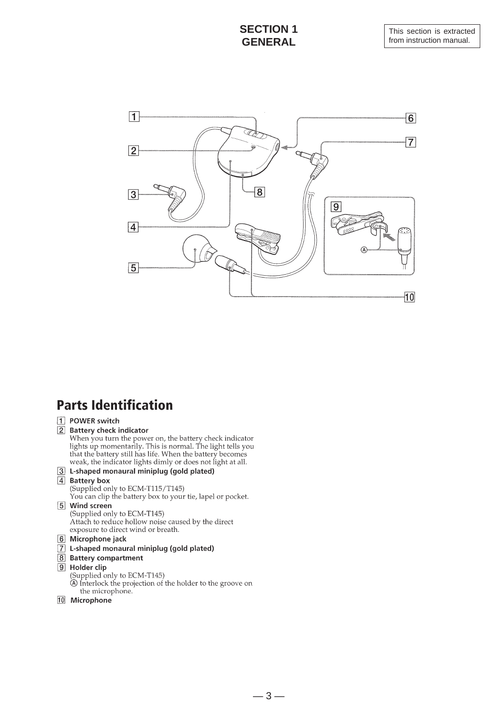## **SECTION 1 GENERAL**



# **Parts Identification**

#### [1] POWER switch

#### 2 Battery check indicator

When you turn the power on, the battery check indicator<br>lights up momentarily. This is normal. The light tells you that the battery still has life. When the battery becomes weak, the indicator lights dimly or does not light at all.

#### 3 L-shaped monaural miniplug (gold plated)

4 Battery box

(Supplied only to ECM-T115/T145)

You can clip the battery box to your tie, lapel or pocket.

#### 5 Wind screen (Supplied only to ECM-T145)

Attach to reduce hollow noise caused by the direct exposure to direct wind or breath.

- 6 Microphone jack
- 7 L-shaped monaural miniplug (gold plated)
- 8 Battery compartment

#### 9 Holder clip

- (Supplied only to ECM-T145)<br>
(A) Interlock the projection of the holder to the groove on the microphone.
- 10 Microphone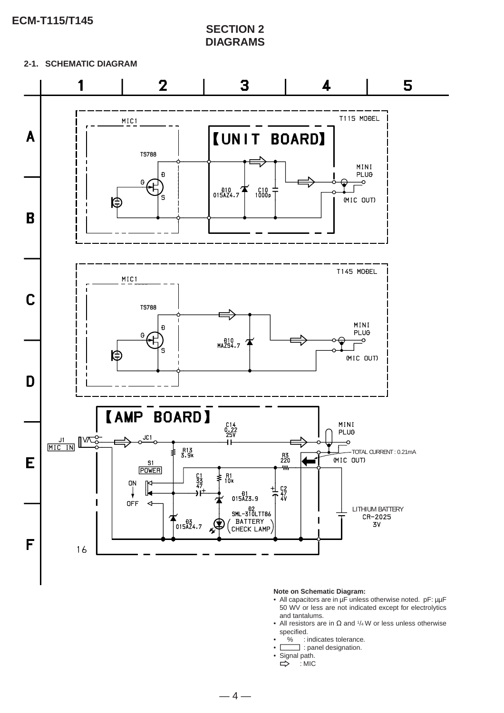**ECM-T115/T145**

**SECTION 2 DIAGRAMS**

**2-1. SCHEMATIC DIAGRAM**



#### **Note on Schematic Diagram:**

- All capacitors are in µF unless otherwise noted. pF: µµF 50 WV or less are not indicated except for electrolytics and tantalums.
- All resistors are in  $\Omega$  and  $1/4$  W or less unless otherwise specified.
- % : indicates tolerance.
- **Comparent** : panel designation.
- Signal path.<br> $\Rightarrow$  : MIC
- $\cdot$ : MIC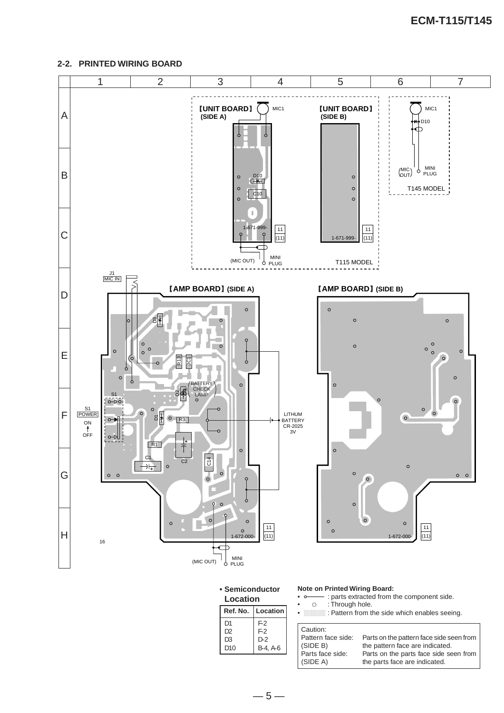#### **2-2. PRINTED WIRING BOARD**



 $-5-$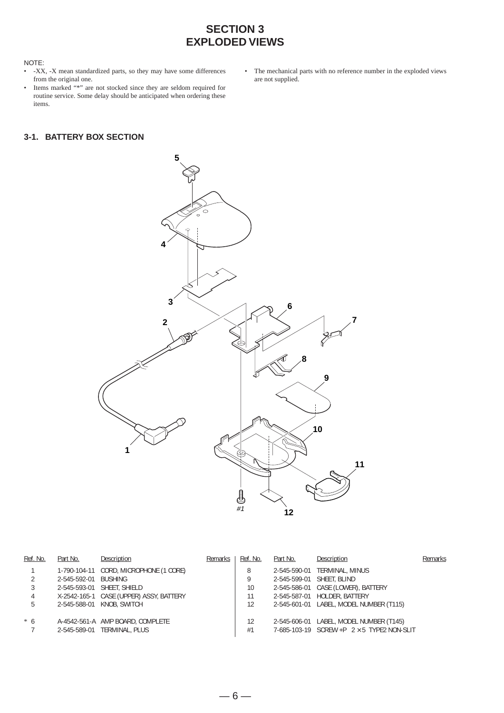# **SECTION 3 EXPLODED VIEWS**

#### NOTE:

- -XX, -X mean standardized parts, so they may have some differences from the original one.
- Items marked "\*" are not stocked since they are seldom required for routine service. Some delay should be anticipated when ordering these items.

#### **3-1. BATTERY BOX SECTION**

• The mechanical parts with no reference number in the exploded views are not supplied.



| Ref. No. | Part No.             | Description                             | Remarks | Ref. No. | Part No. | Description                                          | Remarks |
|----------|----------------------|-----------------------------------------|---------|----------|----------|------------------------------------------------------|---------|
|          |                      | 1-790-104-11 CORD, MICROPHONE (1 CORE)  |         | 8        |          | 2-545-590-01 TERMINAL, MINUS                         |         |
|          | 2-545-592-01 BUSHING |                                         |         | 9        |          | 2-545-599-01 SHEET, BLIND                            |         |
|          |                      | 2-545-593-01 SHEET, SHIELD              |         | 10       |          | 2-545-586-01 CASE (LOWER), BATTERY                   |         |
| 4        |                      | X-2542-165-1 CASE (UPPER) ASSY, BATTERY |         | 11       |          | 2-545-587-01 HOLDER, BATTERY                         |         |
| 5        |                      | 2-545-588-01 KNOB, SWITCH               |         | 12       |          | 2-545-601-01 LABEL, MODEL NUMBER (T115)              |         |
| $*6$     |                      | A-4542-561-A AMP BOARD, COMPLETE        |         | 12       |          | 2-545-606-01 LABEL, MODEL NUMBER (T145)              |         |
|          |                      | 2-545-589-01 TERMINAL, PLUS             |         | #1       |          | 7-685-103-19 $SCREW + P$ $2 \times 5$ TYPE2 NON-SLIT |         |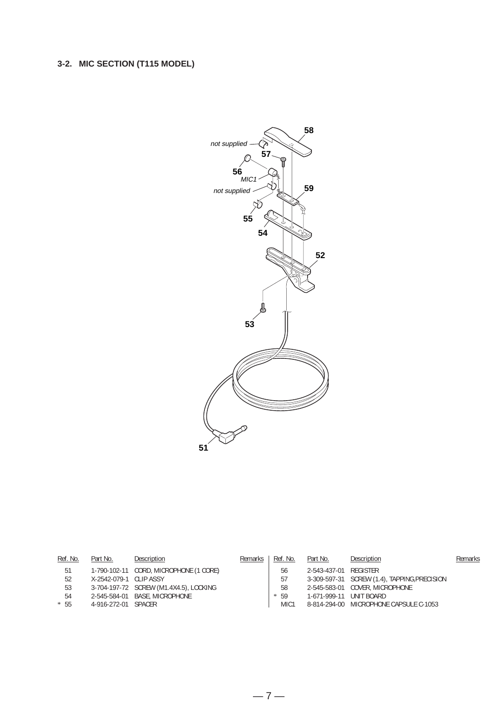## **3-2. MIC SECTION (T115 MODEL)**



| Ref. No. | Part No.               | Description                            | Remarks | Ref. No.         | Part No.                | Description                                  | Remarks |
|----------|------------------------|----------------------------------------|---------|------------------|-------------------------|----------------------------------------------|---------|
| 51       |                        | 1-790-102-11 CORD, MICROPHONE (1 CORE) |         | 56               | 2-543-437-01 REGISTER   |                                              |         |
| 52       | X-2542-079-1 CLIP ASSY |                                        |         | 57               |                         | 3-309-597-31 SCREW (1.4), TAPPING, PRECISION |         |
| 53       |                        | 3-704-197-72 SCREW (M1.4X4.5), LOCKING |         | 58               |                         | 2-545-583-01 COVER, MICROPHONE               |         |
| 54       |                        | 2-545-584-01 BASE, MICROPHONE          |         | $* 59$           | 1-671-999-11 UNIT BOARD |                                              |         |
| $* 55$   | 4-916-272-01 SPACER    |                                        |         | MIC <sub>1</sub> |                         | 8-814-294-00 MICROPHONE CAPSULE C-1053       |         |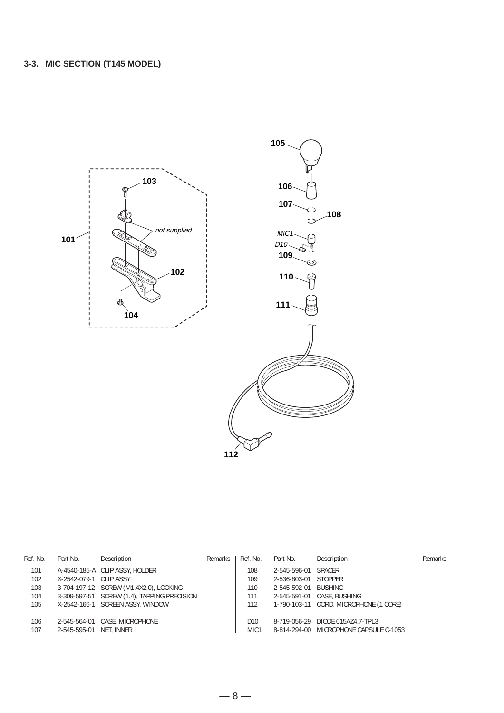

| Ref. No.   | Part No.                | Description                                  | Remarks | Ref. No.                            | Part No.             | Description                                                                | Remarks |
|------------|-------------------------|----------------------------------------------|---------|-------------------------------------|----------------------|----------------------------------------------------------------------------|---------|
| 101        |                         | A-4540-185-A CLIP ASSY, HOLDER               |         | 108                                 | 2-545-596-01 SPACER  |                                                                            |         |
| 102        | X-2542-079-1 CLIP ASSY  |                                              |         | 109                                 | 2-536-803-01 STOPPER |                                                                            |         |
| 103        |                         | 3-704-197-12 SCREW (M1.4X2.0), LOCKING       |         | 110                                 | 2-545-592-01         | BUSHING                                                                    |         |
| 104        |                         | 3-309-597-51 SCREW (1.4), TAPPING, PRECISION |         | 111                                 |                      | 2-545-591-01 CASE, BUSHING                                                 |         |
| 105        |                         | X-2542-166-1 SCREEN ASSY, WINDOW             |         | 112                                 |                      | 1-790-103-11 CORD, MICROPHONE (1 CORE)                                     |         |
| 106<br>107 | 2-545-595-01 NET, INNER | 2-545-564-01 CASE, MICROPHONE                |         | D <sub>10</sub><br>MIC <sub>1</sub> |                      | 8-719-056-29 DIODE 015AZ4.7-TPL3<br>8-814-294-00 MICROPHONE CAPSULE C-1053 |         |
|            |                         |                                              |         |                                     |                      |                                                                            |         |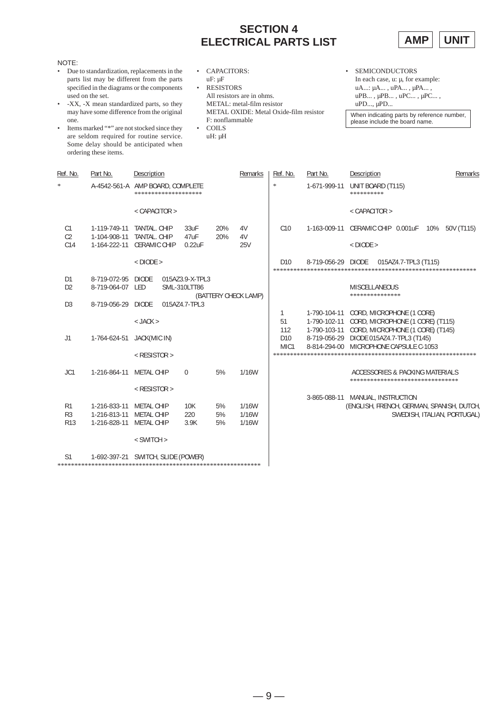# **SECTION 4 ELECTRICAL PARTS LIST**



| NOTE:<br>Due to standardization, replacements in the<br>$\bullet$<br>parts list may be different from the parts<br>specified in the diagrams or the components<br>used on the set.<br>-XX, -X mean standardized parts, so they<br>may have some difference from the original<br>one.<br>Items marked "*" are not stocked since they<br>$\bullet$<br>are seldom required for routine service.<br>Some delay should be anticipated when<br>ordering these items. |                                    |                                     | $\bullet$<br>$\bullet$ | <b>CAPACITORS:</b><br>$uF: \mu F$<br><b>RESISTORS</b><br>All resistors are in ohms.<br>METAL: metal-film resistor<br>METAL OXIDE: Metal Oxide-film resistor<br>F: nonflammable<br><b>COILS</b><br>uH: µH |                      |              |                                     | <b>SEMICONDUCTORS</b><br>In each case, $u: \mu$ , for example:<br>uA: μA, uPA, μPA,<br>uPB, uPB, uPC, uPC,<br>$uPD$ , $\mu PD$<br>When indicating parts by reference number,<br>please include the board name. |                                                                                                   |
|----------------------------------------------------------------------------------------------------------------------------------------------------------------------------------------------------------------------------------------------------------------------------------------------------------------------------------------------------------------------------------------------------------------------------------------------------------------|------------------------------------|-------------------------------------|------------------------|----------------------------------------------------------------------------------------------------------------------------------------------------------------------------------------------------------|----------------------|--------------|-------------------------------------|----------------------------------------------------------------------------------------------------------------------------------------------------------------------------------------------------------------|---------------------------------------------------------------------------------------------------|
| Ref. No.                                                                                                                                                                                                                                                                                                                                                                                                                                                       | Part No.                           | Description                         |                        |                                                                                                                                                                                                          |                      | Remarks      | Ref. No.                            | Part No.                                                                                                                                                                                                       | Description<br>Remarks                                                                            |
|                                                                                                                                                                                                                                                                                                                                                                                                                                                                | A-4542-561-A AMP BOARD, COMPLETE   | ********************                |                        |                                                                                                                                                                                                          |                      |              | $\frac{d\mathbf{r}}{dt}$            | 1-671-999-11                                                                                                                                                                                                   | UNIT BOARD (T115)<br>**********                                                                   |
|                                                                                                                                                                                                                                                                                                                                                                                                                                                                |                                    | $<$ CAPACITOR $>$                   |                        |                                                                                                                                                                                                          |                      |              |                                     |                                                                                                                                                                                                                | $<$ CAPACITOR $>$                                                                                 |
| C <sub>1</sub>                                                                                                                                                                                                                                                                                                                                                                                                                                                 | 1-119-749-11                       | TANTAL. CHIP                        |                        | 33uF                                                                                                                                                                                                     | 20%                  | 4V           | C10                                 | 1-163-009-11                                                                                                                                                                                                   | CERAMIC CHIP 0.001uF<br>10%<br>50V (T115)                                                         |
| C <sub>2</sub><br>C14                                                                                                                                                                                                                                                                                                                                                                                                                                          | 1-104-908-11<br>1-164-222-11       | TANTAL. CHIP<br><b>CERAMIC CHIP</b> |                        | 47uF<br>$0.22$ uF                                                                                                                                                                                        | 20%                  | 4V<br>25V    |                                     |                                                                                                                                                                                                                | $<$ DIODE $>$                                                                                     |
|                                                                                                                                                                                                                                                                                                                                                                                                                                                                |                                    | $<$ DIODE $>$                       |                        |                                                                                                                                                                                                          |                      |              | D <sub>10</sub>                     | 8-719-056-29 DIODE                                                                                                                                                                                             | 015AZ4.7-TPL3 (T115)                                                                              |
| D <sub>1</sub><br>D <sub>2</sub>                                                                                                                                                                                                                                                                                                                                                                                                                               | 8-719-072-95<br>8-719-064-07       | <b>DIODE</b><br>LED                 |                        | 015AZ3.9-X-TPL3<br>SML-310LTT86                                                                                                                                                                          | (BATTERY CHECK LAMP) |              |                                     |                                                                                                                                                                                                                | MISCELLANEOUS<br>***************                                                                  |
| D <sub>3</sub>                                                                                                                                                                                                                                                                                                                                                                                                                                                 | 8-719-056-29                       | DIODE                               |                        | 015AZ4.7-TPL3                                                                                                                                                                                            |                      |              |                                     |                                                                                                                                                                                                                |                                                                                                   |
|                                                                                                                                                                                                                                                                                                                                                                                                                                                                |                                    | $<$ JACK $>$                        |                        |                                                                                                                                                                                                          |                      |              | 1<br>51<br>112                      | 1-790-104-11<br>1-790-102-11<br>1-790-103-11                                                                                                                                                                   | CORD, MICROPHONE (1 CORE)<br>CORD, MICROPHONE (1 CORE) (T115)<br>CORD, MICROPHONE (1 CORE) (T145) |
| J1                                                                                                                                                                                                                                                                                                                                                                                                                                                             | 1-764-624-51                       | JACK(MIC IN)                        |                        |                                                                                                                                                                                                          |                      |              | D <sub>10</sub><br>MIC <sub>1</sub> | 8-719-056-29                                                                                                                                                                                                   | DIODE 015AZ4.7-TPL3 (T145)<br>8-814-294-00 MICROPHONE CAPSULE C-1053                              |
|                                                                                                                                                                                                                                                                                                                                                                                                                                                                |                                    | $<$ RESISTOR $>$                    |                        |                                                                                                                                                                                                          |                      |              |                                     |                                                                                                                                                                                                                |                                                                                                   |
| JC1                                                                                                                                                                                                                                                                                                                                                                                                                                                            | 1-216-864-11                       | METAL CHIP                          |                        | $\Omega$                                                                                                                                                                                                 | 5%                   | 1/16W        |                                     |                                                                                                                                                                                                                | ACCESSORIES & PACKING MATERIALS<br>********************************                               |
|                                                                                                                                                                                                                                                                                                                                                                                                                                                                |                                    | $<$ RESISTOR $>$                    |                        |                                                                                                                                                                                                          |                      |              |                                     |                                                                                                                                                                                                                | 3-865-088-11 MANUAL, INSTRUCTION                                                                  |
| R1                                                                                                                                                                                                                                                                                                                                                                                                                                                             | 1-216-833-11                       | METAL CHIP                          |                        | 10K                                                                                                                                                                                                      | 5%                   | 1/16W        |                                     |                                                                                                                                                                                                                | (ENGLISH, FRENCH, GERMAN, SPANISH, DUTCH,                                                         |
| R <sub>3</sub>                                                                                                                                                                                                                                                                                                                                                                                                                                                 | 1-216-813-11                       | <b>METAL CHIP</b>                   |                        | 220                                                                                                                                                                                                      | 5%                   | <b>1/16W</b> |                                     |                                                                                                                                                                                                                | SWEDISH, ITALIAN, PORTUGAL)                                                                       |
| <b>R13</b>                                                                                                                                                                                                                                                                                                                                                                                                                                                     | 1-216-828-11                       | <b>METAL CHIP</b>                   |                        | 3.9K                                                                                                                                                                                                     | 5%                   | 1/16W        |                                     |                                                                                                                                                                                                                |                                                                                                   |
|                                                                                                                                                                                                                                                                                                                                                                                                                                                                |                                    | < SWITCH >                          |                        |                                                                                                                                                                                                          |                      |              |                                     |                                                                                                                                                                                                                |                                                                                                   |
| S1                                                                                                                                                                                                                                                                                                                                                                                                                                                             | 1-692-397-21 SWITCH, SLIDE (POWER) |                                     |                        |                                                                                                                                                                                                          |                      |              |                                     |                                                                                                                                                                                                                |                                                                                                   |